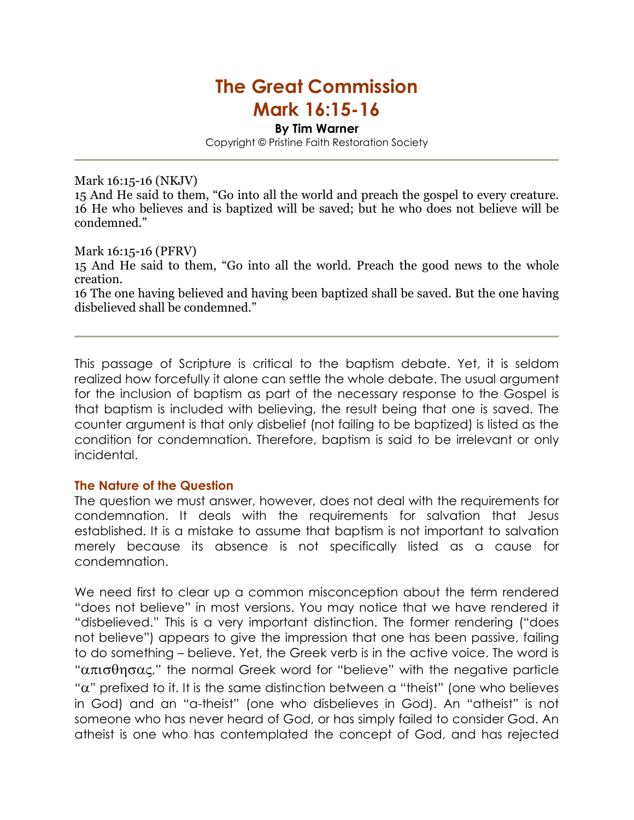# The Great Commission

# Mark 16:15-16

By Tim Warner

Copyright © Pristine Faith Restoration Society

#### Mark 16:15-16 (NKJV)

15 And He said to them, "Go into all the world and preach the gospel to every creature. 16 He who believes and is baptized will be saved; but he who does not believe will be condemned."

#### Mark 16:15-16 (PFRV)

15 And He said to them, "Go into all the world. Preach the good news to the whole creation.

16 The one having believed and having been baptized shall be saved. But the one having disbelieved shall be condemned."

This passage of Scripture is critical to the baptism debate. Yet, it is seldom realized how forcefully it alone can settle the whole debate. The usual argument for the inclusion of baptism as part of the necessary response to the Gospel is that baptism is included with believing, the result being that one is saved. The counter argument is that only disbelief (not failing to be baptized) is listed as the condition for condemnation. Therefore, baptism is said to be irrelevant or only incidental.

## The Nature of the Question

The question we must answer, however, does not deal with the requirements for condemnation. It deals with the requirements for salvation that Jesus established. It is a mistake to assume that baptism is not important to salvation merely because its absence is not specifically listed as a cause for condemnation.

We need first to clear up a common misconception about the term rendered "does not believe" in most versions. You may notice that we have rendered it "disbelieved." This is a very important distinction. The former rendering ("does not believe") appears to give the impression that one has been passive, failing to do something – believe. Yet, the Greek verb is in the active voice. The word is " $\alpha\pi\sigma\theta\eta\sigma\alpha\zeta$ ," the normal Greek word for "believe" with the negative particle "α" prefixed to it. It is the same distinction between a "theist" (one who believes in God) and an "a-theist" (one who disbelieves in God). An "atheist" is not someone who has never heard of God, or has simply failed to consider God. An atheist is one who has contemplated the concept of God, and has rejected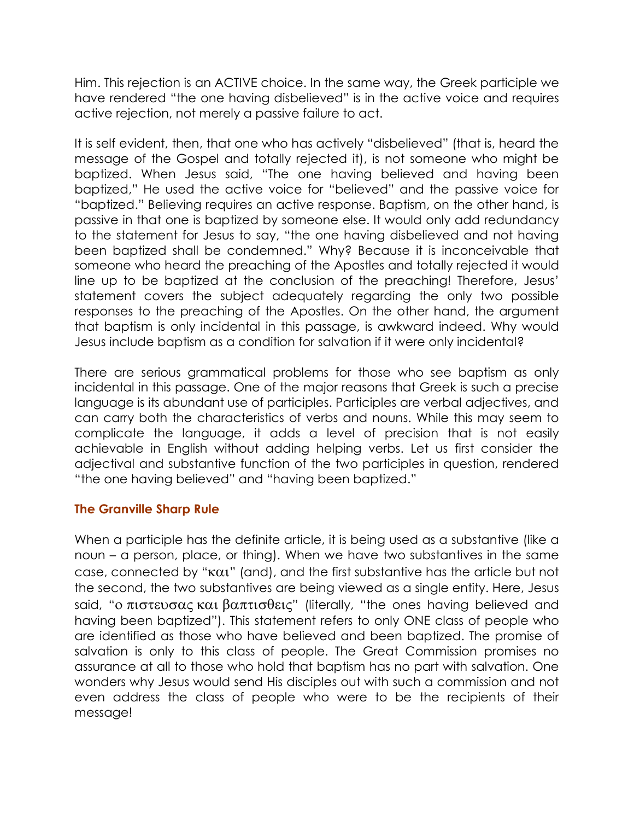Him. This rejection is an ACTIVE choice. In the same way, the Greek participle we have rendered "the one having disbelieved" is in the active voice and requires active rejection, not merely a passive failure to act.

It is self evident, then, that one who has actively "disbelieved" (that is, heard the message of the Gospel and totally rejected it), is not someone who might be baptized. When Jesus said, "The one having believed and having been baptized," He used the active voice for "believed" and the passive voice for "baptized." Believing requires an active response. Baptism, on the other hand, is passive in that one is baptized by someone else. It would only add redundancy to the statement for Jesus to say, "the one having disbelieved and not having been baptized shall be condemned." Why? Because it is inconceivable that someone who heard the preaching of the Apostles and totally rejected it would line up to be baptized at the conclusion of the preaching! Therefore, Jesus' statement covers the subject adequately regarding the only two possible responses to the preaching of the Apostles. On the other hand, the argument that baptism is only incidental in this passage, is awkward indeed. Why would Jesus include baptism as a condition for salvation if it were only incidental?

There are serious grammatical problems for those who see baptism as only incidental in this passage. One of the major reasons that Greek is such a precise language is its abundant use of participles. Participles are verbal adjectives, and can carry both the characteristics of verbs and nouns. While this may seem to complicate the language, it adds a level of precision that is not easily achievable in English without adding helping verbs. Let us first consider the adjectival and substantive function of the two participles in question, rendered "the one having believed" and "having been baptized."

# The Granville Sharp Rule

When a participle has the definite article, it is being used as a substantive (like a noun – a person, place, or thing). When we have two substantives in the same case, connected by "και" (and), and the first substantive has the article but not the second, the two substantives are being viewed as a single entity. Here, Jesus said, "ο πιστευσας και βαπτισθεις" (literally, "the ones having believed and having been baptized"). This statement refers to only ONE class of people who are identified as those who have believed and been baptized. The promise of salvation is only to this class of people. The Great Commission promises no assurance at all to those who hold that baptism has no part with salvation. One wonders why Jesus would send His disciples out with such a commission and not even address the class of people who were to be the recipients of their message!